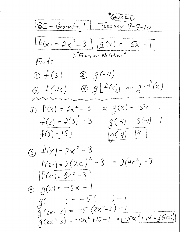(HW3 DUE) 1BE - Geometry 1 TUESDAY 9-7-10  $f(x) = 2x^2 - 3 \int [q(x) = -5x - 1]$  $\Rightarrow$  FUNCTION Notation" Find:  $\bigcirc$   $\bigcirc$   $\bigcirc$   $\bigcirc$  $29(-4)$  $g(f(x))$   $g[f(x)]$  or  $g(f(x))$  $Q$   $q(x) = -5x -1$ ①  $f(x) = 2x^2 - 3$  $f(3) = 2(3)^{2} - 3$  $g(-4) = -5(-4) - 1$  $f(3) = 15$  $|g(-4)=19|$ (3)  $f(x) = 2x^2 - 3$  $f(zc) = 2(2c)^2 - 3 = 2(4c^2) - 3$  $f(zc) = 8c^2 - 3$  $\circledast$   $g(x) = -5x - 1$  $g( ) = -5( ) -1$  $g(2x^{2}-3) = -5(2x^{2}-3)-1$  $G(2x^2-3) = -10x^2 + 15 - 1 = -10x^2 + 14 = -9(4x)$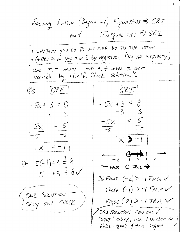Solving LINEAR (Degree =1) Equations =>  $GRS$ AND INEQUALITIES ORI . WHATEVER YOU DO TO ONE SIDE DO TO THE OTHER  $\bullet$  (+GRI => it you  $\bullet$  or  $\frac{1}{\circ}$  by negative,  $\frac{1}{\left| \int_0^1 \rho \, dr}$  ineguacity) USe +, - undos puble, - undos 70 get  $GEL$  $68$   $67E$  $-5x + 3 < 8$  $-5x + 3 = 8$  $-3 - 3$  $-3 - 3$  $\frac{-5x}{-5} < \frac{5}{-5}$  $\frac{-5x}{-5} = \frac{5}{-5}$  $\left[\times$  > -1  $|x = -1|$  $-2 - 0$  $96 - 5(-1) + 3 = 8$  $F$  FALSE -  $O$  TRUE  $5 + 3 = 8 \sqrt{ }$  $\underline{\subseteq}$  FALSe  $(-2)$  > -1 FALSe  $\checkmark$ FALSE  $(-1)$  > 7 FALSE (ONE SOLUTION - $FA(se (2) > -1)$ TeuE OD SOLUTIONS, CAN ONLY<br>"Spot" CHECK, USE I Number in

 $\mathcal{L}_{\mathcal{L}}$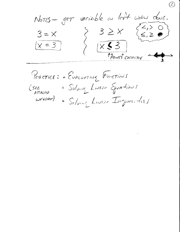variable on left with done.  $N$ OTES - GET  $3 \geq x$  $X<sup>2</sup>$  $x = 3$ TEOINTS COFFECTLY

Practice: EUALUATING FUNCTIONS · Solving Liver Equations  $($  see ATTACHIO  $wc$ *esiker*) · Solving Liver Ingenishes